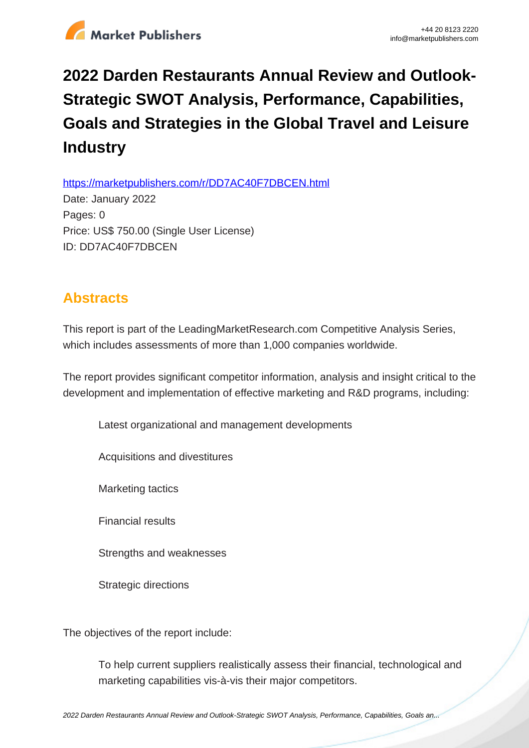

## **2022 Darden Restaurants Annual Review and Outlook-Strategic SWOT Analysis, Performance, Capabilities, Goals and Strategies in the Global Travel and Leisure Industry**

https://marketpublishers.com/r/DD7AC40F7DBCEN.html

Date: January 2022 Pages: 0 Price: US\$ 750.00 (Single User License) ID: DD7AC40F7DBCEN

## **Abstracts**

This report is part of the LeadingMarketResearch.com Competitive Analysis Series, which includes assessments of more than 1,000 companies worldwide.

The report provides significant competitor information, analysis and insight critical to the development and implementation of effective marketing and R&D programs, including:

Latest organizational and management developments

Acquisitions and divestitures

Marketing tactics

Financial results

Strengths and weaknesses

Strategic directions

The objectives of the report include:

To help current suppliers realistically assess their financial, technological and marketing capabilities vis-à-vis their major competitors.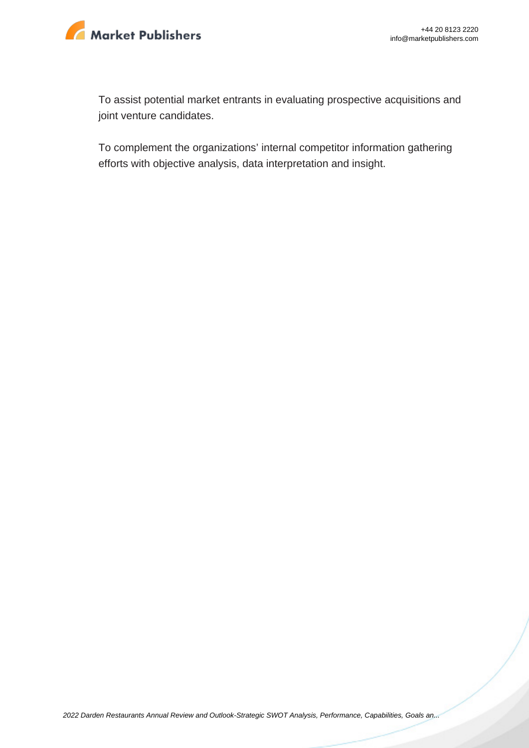

To assist potential market entrants in evaluating prospective acquisitions and joint venture candidates.

To complement the organizations' internal competitor information gathering efforts with objective analysis, data interpretation and insight.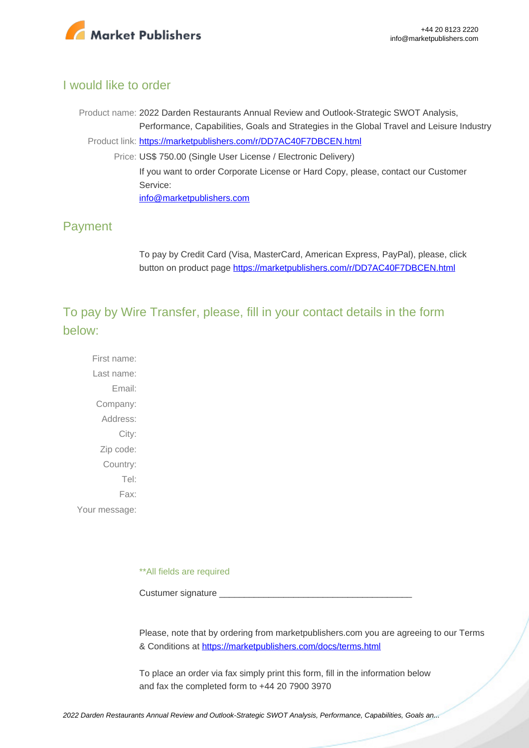

## I would like to order

Product name: 2022 Darden Restaurants Annual Review and Outlook-Strategic SWOT Analysis, Performance, Capabilities, Goals and Strategies in the Global Travel and Leisure Industry Product link: [https://marketpublishers.com/r/DD7AC40F7DBCEN.html](https://marketpublishers.com/report/services/travel-leisure/darden-restaurants-annual-review-n-outlook-strategic-swot-analysis-performance-capabilities-goals-n-strategies-in-global-travel-n-leisure-industry.html) Price: US\$ 750.00 (Single User License / Electronic Delivery) If you want to order Corporate License or Hard Copy, please, contact our Customer Service: [info@marketpublishers.com](mailto:info@marketpublishers.com)

## Payment

To pay by Credit Card (Visa, MasterCard, American Express, PayPal), please, click button on product page [https://marketpublishers.com/r/DD7AC40F7DBCEN.html](https://marketpublishers.com/report/services/travel-leisure/darden-restaurants-annual-review-n-outlook-strategic-swot-analysis-performance-capabilities-goals-n-strategies-in-global-travel-n-leisure-industry.html)

To pay by Wire Transfer, please, fill in your contact details in the form below:

First name: Last name: Email: Company: Address: City: Zip code: Country: Tel: Fax: Your message:

\*\*All fields are required

Custumer signature

Please, note that by ordering from marketpublishers.com you are agreeing to our Terms & Conditions at<https://marketpublishers.com/docs/terms.html>

To place an order via fax simply print this form, fill in the information below and fax the completed form to +44 20 7900 3970